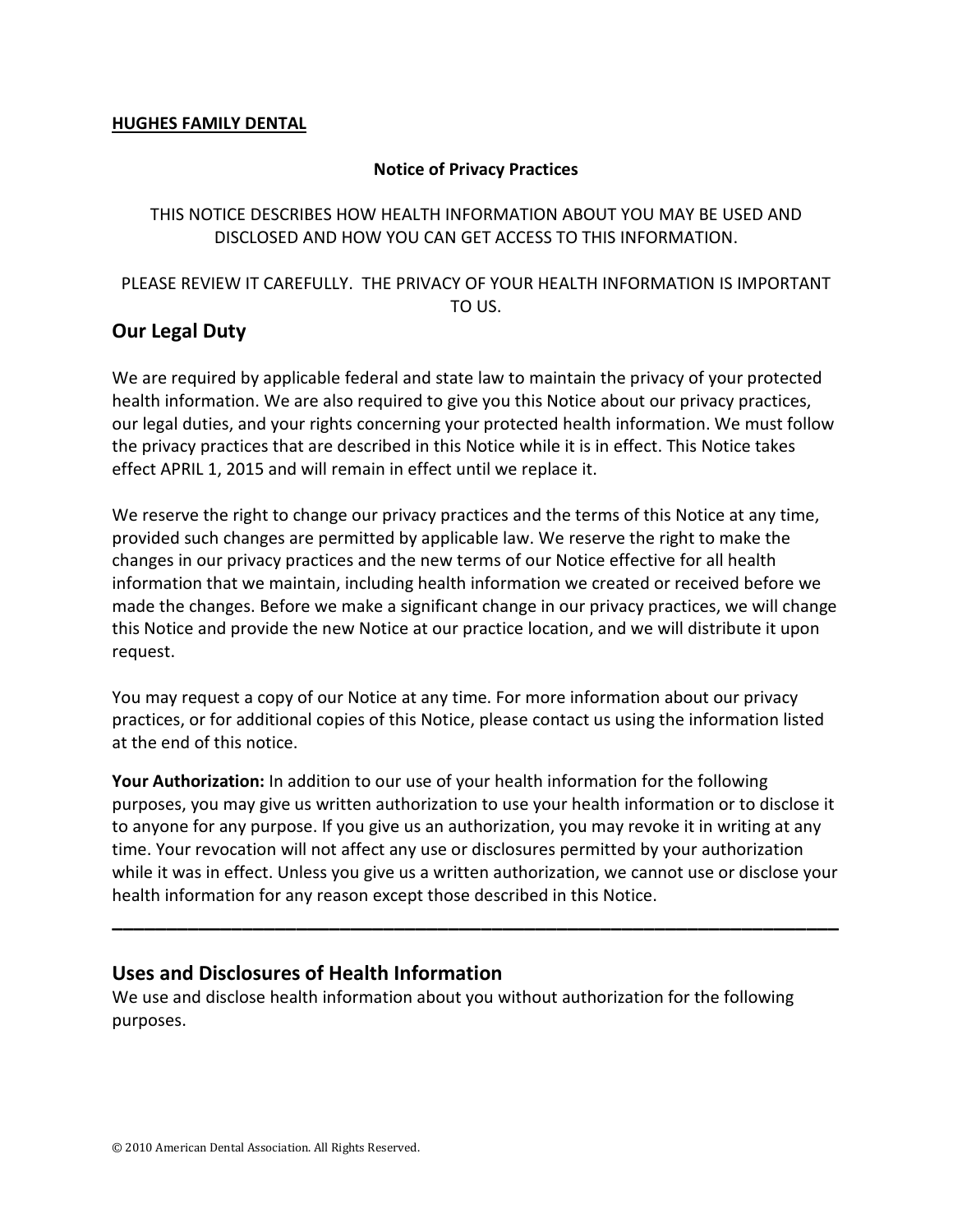#### **HUGHES FAMILY DENTAL**

#### **Notice of Privacy Practices**

### THIS NOTICE DESCRIBES HOW HEALTH INFORMATION ABOUT YOU MAY BE USED AND DISCLOSED AND HOW YOU CAN GET ACCESS TO THIS INFORMATION.

### PLEASE REVIEW IT CAREFULLY. THE PRIVACY OF YOUR HEALTH INFORMATION IS IMPORTANT TO US.

# **Our Legal Duty**

We are required by applicable federal and state law to maintain the privacy of your protected health information. We are also required to give you this Notice about our privacy practices, our legal duties, and your rights concerning your protected health information. We must follow the privacy practices that are described in this Notice while it is in effect. This Notice takes effect APRIL 1, 2015 and will remain in effect until we replace it.

We reserve the right to change our privacy practices and the terms of this Notice at any time, provided such changes are permitted by applicable law. We reserve the right to make the changes in our privacy practices and the new terms of our Notice effective for all health information that we maintain, including health information we created or received before we made the changes. Before we make a significant change in our privacy practices, we will change this Notice and provide the new Notice at our practice location, and we will distribute it upon request.

You may request a copy of our Notice at any time. For more information about our privacy practices, or for additional copies of this Notice, please contact us using the information listed at the end of this notice.

**Your Authorization:** In addition to our use of your health information for the following purposes, you may give us written authorization to use your health information or to disclose it to anyone for any purpose. If you give us an authorization, you may revoke it in writing at any time. Your revocation will not affect any use or disclosures permitted by your authorization while it was in effect. Unless you give us a written authorization, we cannot use or disclose your health information for any reason except those described in this Notice.

**\_\_\_\_\_\_\_\_\_\_\_\_\_\_\_\_\_\_\_\_\_\_\_\_\_\_\_\_\_\_\_\_\_\_\_\_\_\_\_\_\_\_\_\_\_\_\_\_\_\_\_\_\_\_\_\_\_\_\_\_\_\_\_\_\_\_\_** 

## **Uses and Disclosures of Health Information**

We use and disclose health information about you without authorization for the following purposes.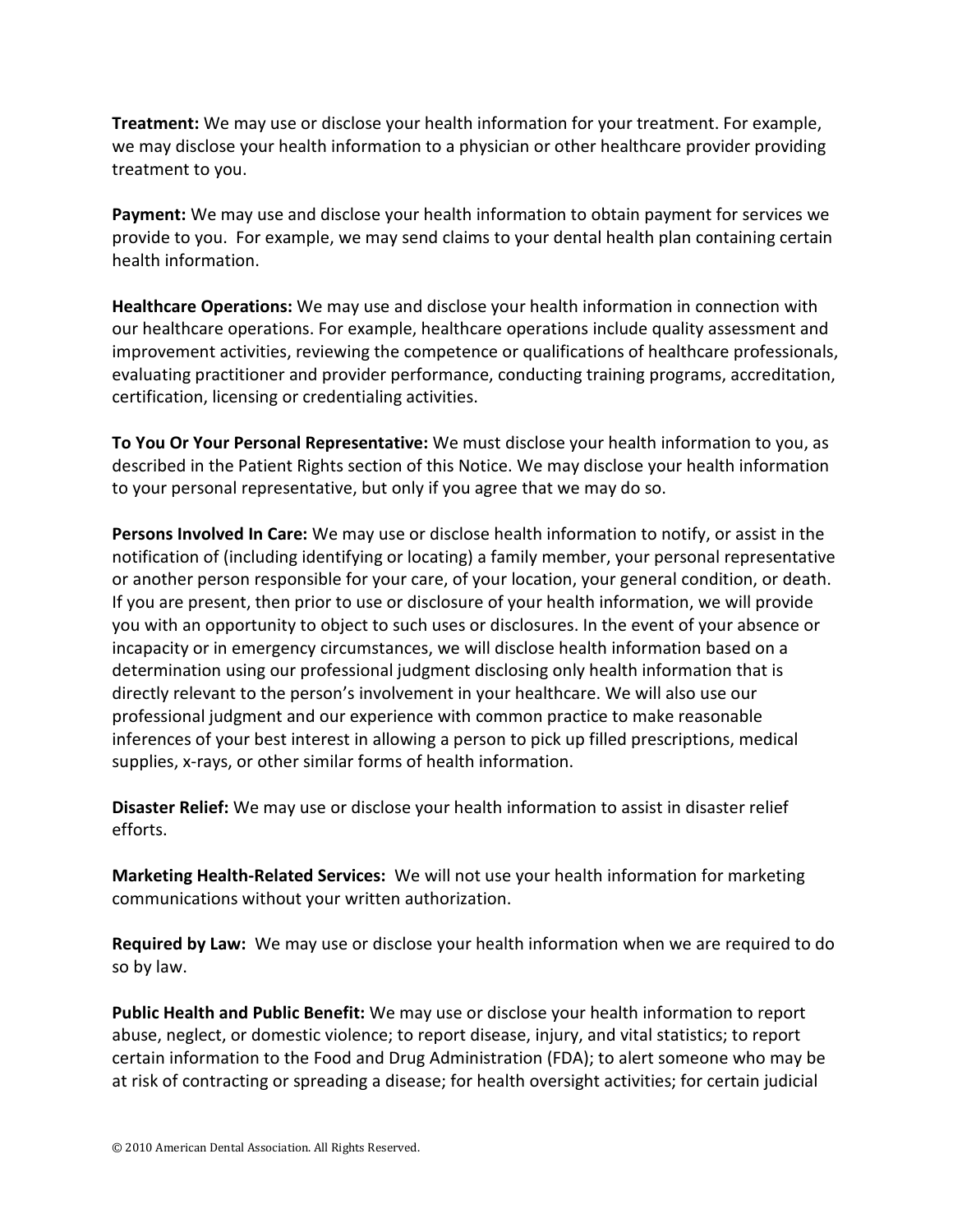**Treatment:** We may use or disclose your health information for your treatment. For example, we may disclose your health information to a physician or other healthcare provider providing treatment to you.

**Payment:** We may use and disclose your health information to obtain payment for services we provide to you. For example, we may send claims to your dental health plan containing certain health information.

**Healthcare Operations:** We may use and disclose your health information in connection with our healthcare operations. For example, healthcare operations include quality assessment and improvement activities, reviewing the competence or qualifications of healthcare professionals, evaluating practitioner and provider performance, conducting training programs, accreditation, certification, licensing or credentialing activities.

**To You Or Your Personal Representative:** We must disclose your health information to you, as described in the Patient Rights section of this Notice. We may disclose your health information to your personal representative, but only if you agree that we may do so.

**Persons Involved In Care:** We may use or disclose health information to notify, or assist in the notification of (including identifying or locating) a family member, your personal representative or another person responsible for your care, of your location, your general condition, or death. If you are present, then prior to use or disclosure of your health information, we will provide you with an opportunity to object to such uses or disclosures. In the event of your absence or incapacity or in emergency circumstances, we will disclose health information based on a determination using our professional judgment disclosing only health information that is directly relevant to the person's involvement in your healthcare. We will also use our professional judgment and our experience with common practice to make reasonable inferences of your best interest in allowing a person to pick up filled prescriptions, medical supplies, x-rays, or other similar forms of health information.

**Disaster Relief:** We may use or disclose your health information to assist in disaster relief efforts.

**Marketing Health-Related Services:** We will not use your health information for marketing communications without your written authorization.

**Required by Law:** We may use or disclose your health information when we are required to do so by law.

**Public Health and Public Benefit:** We may use or disclose your health information to report abuse, neglect, or domestic violence; to report disease, injury, and vital statistics; to report certain information to the Food and Drug Administration (FDA); to alert someone who may be at risk of contracting or spreading a disease; for health oversight activities; for certain judicial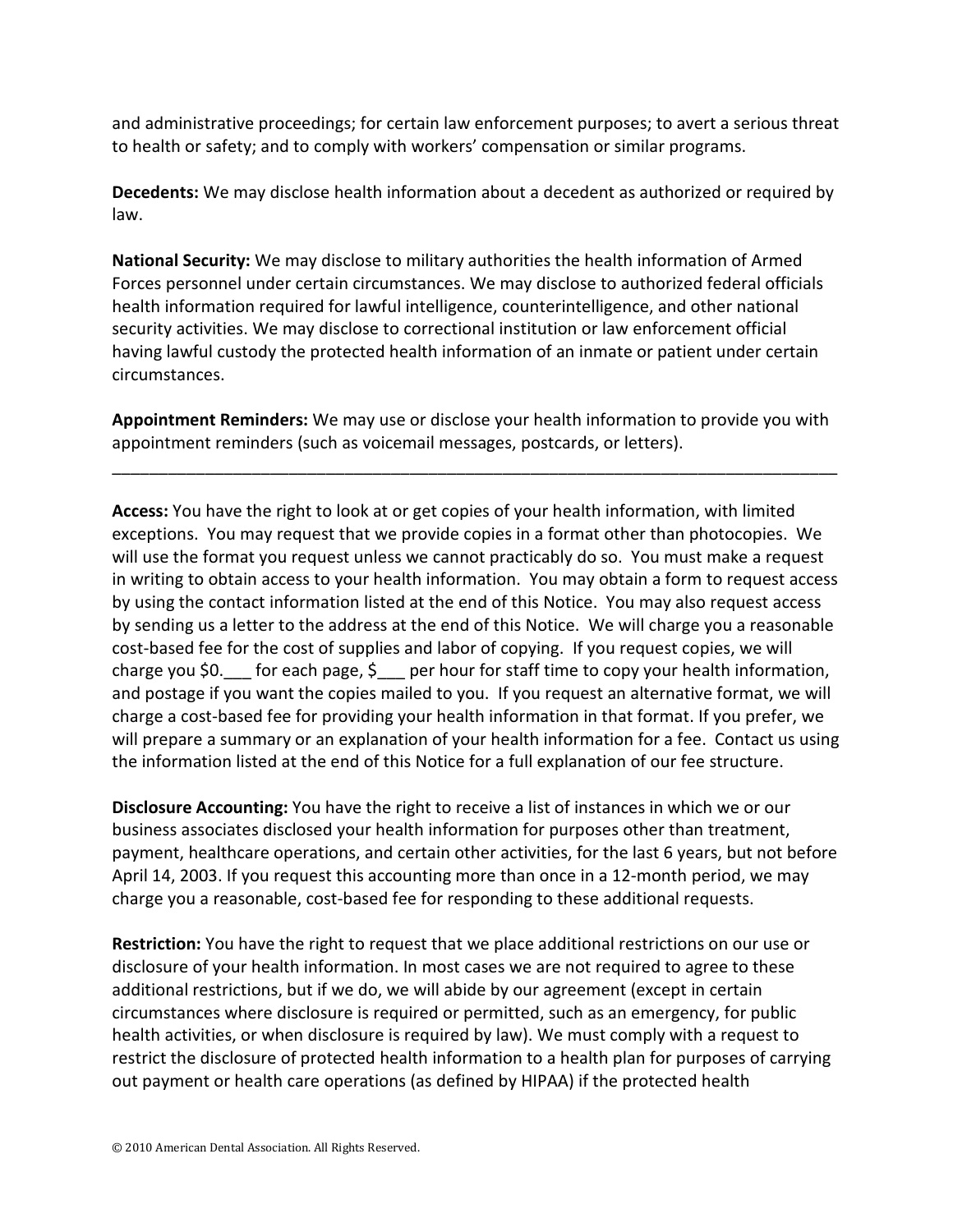and administrative proceedings; for certain law enforcement purposes; to avert a serious threat to health or safety; and to comply with workers' compensation or similar programs.

**Decedents:** We may disclose health information about a decedent as authorized or required by law.

**National Security:** We may disclose to military authorities the health information of Armed Forces personnel under certain circumstances. We may disclose to authorized federal officials health information required for lawful intelligence, counterintelligence, and other national security activities. We may disclose to correctional institution or law enforcement official having lawful custody the protected health information of an inmate or patient under certain circumstances.

**Appointment Reminders:** We may use or disclose your health information to provide you with appointment reminders (such as voicemail messages, postcards, or letters).

\_\_\_\_\_\_\_\_\_\_\_\_\_\_\_\_\_\_\_\_\_\_\_\_\_\_\_\_\_\_\_\_\_\_\_\_\_\_\_\_\_\_\_\_\_\_\_\_\_\_\_\_\_\_\_\_\_\_\_\_\_\_\_\_\_\_\_\_\_\_\_\_\_\_\_\_\_\_

**Access:** You have the right to look at or get copies of your health information, with limited exceptions. You may request that we provide copies in a format other than photocopies. We will use the format you request unless we cannot practicably do so. You must make a request in writing to obtain access to your health information. You may obtain a form to request access by using the contact information listed at the end of this Notice. You may also request access by sending us a letter to the address at the end of this Notice. We will charge you a reasonable cost-based fee for the cost of supplies and labor of copying. If you request copies, we will charge you \$0. For each page,  $\frac{2}{3}$  per hour for staff time to copy your health information, and postage if you want the copies mailed to you. If you request an alternative format, we will charge a cost-based fee for providing your health information in that format. If you prefer, we will prepare a summary or an explanation of your health information for a fee. Contact us using the information listed at the end of this Notice for a full explanation of our fee structure.

**Disclosure Accounting:** You have the right to receive a list of instances in which we or our business associates disclosed your health information for purposes other than treatment, payment, healthcare operations, and certain other activities, for the last 6 years, but not before April 14, 2003. If you request this accounting more than once in a 12-month period, we may charge you a reasonable, cost-based fee for responding to these additional requests.

**Restriction:** You have the right to request that we place additional restrictions on our use or disclosure of your health information. In most cases we are not required to agree to these additional restrictions, but if we do, we will abide by our agreement (except in certain circumstances where disclosure is required or permitted, such as an emergency, for public health activities, or when disclosure is required by law). We must comply with a request to restrict the disclosure of protected health information to a health plan for purposes of carrying out payment or health care operations (as defined by HIPAA) if the protected health